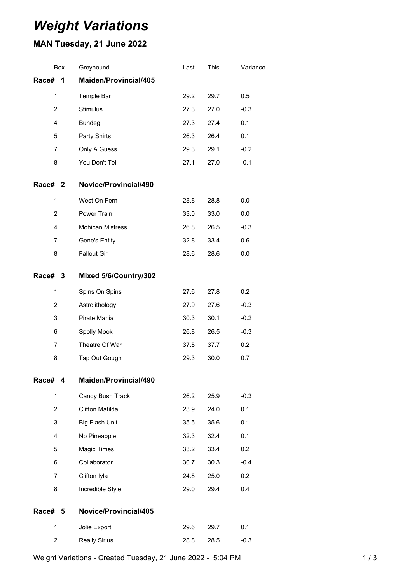## *Weight Variations*

## **MAN Tuesday, 21 June 2022**

|                | Box | Greyhound               | Last | This | Variance |
|----------------|-----|-------------------------|------|------|----------|
| Race#          | 1   | Maiden/Provincial/405   |      |      |          |
| $\mathbf{1}$   |     | Temple Bar              | 29.2 | 29.7 | 0.5      |
| $\overline{2}$ |     | Stimulus                | 27.3 | 27.0 | $-0.3$   |
| 4              |     | Bundegi                 | 27.3 | 27.4 | 0.1      |
| 5              |     | Party Shirts            | 26.3 | 26.4 | 0.1      |
| 7              |     | Only A Guess            | 29.3 | 29.1 | $-0.2$   |
| 8              |     | You Don't Tell          | 27.1 | 27.0 | $-0.1$   |
| Race# 2        |     | Novice/Provincial/490   |      |      |          |
| $\mathbf{1}$   |     | West On Fern            | 28.8 | 28.8 | 0.0      |
| 2              |     | Power Train             | 33.0 | 33.0 | 0.0      |
| 4              |     | <b>Mohican Mistress</b> | 26.8 | 26.5 | $-0.3$   |
| 7              |     | Gene's Entity           | 32.8 | 33.4 | 0.6      |
| 8              |     | <b>Fallout Girl</b>     | 28.6 | 28.6 | 0.0      |
| <b>Race#</b>   | 3   | Mixed 5/6/Country/302   |      |      |          |
| $\mathbf{1}$   |     | Spins On Spins          | 27.6 | 27.8 | 0.2      |
| $\overline{2}$ |     | Astrolithology          | 27.9 | 27.6 | $-0.3$   |
| 3              |     | Pirate Mania            | 30.3 | 30.1 | $-0.2$   |
| 6              |     | Spolly Mook             | 26.8 | 26.5 | $-0.3$   |
| 7              |     | Theatre Of War          | 37.5 | 37.7 | 0.2      |
| 8              |     | Tap Out Gough           | 29.3 | 30.0 | 0.7      |
| Race#          | 4   | Maiden/Provincial/490   |      |      |          |
| $\mathbf{1}$   |     | Candy Bush Track        | 26.2 | 25.9 | $-0.3$   |
| 2              |     | Clifton Matilda         | 23.9 | 24.0 | 0.1      |
| 3              |     | <b>Big Flash Unit</b>   | 35.5 | 35.6 | 0.1      |
| 4              |     | No Pineapple            | 32.3 | 32.4 | 0.1      |
| 5              |     | Magic Times             | 33.2 | 33.4 | 0.2      |
| 6              |     | Collaborator            | 30.7 | 30.3 | $-0.4$   |
| 7              |     | Clifton Iyla            | 24.8 | 25.0 | 0.2      |
| 8              |     | Incredible Style        | 29.0 | 29.4 | 0.4      |
| Race#          | 5   | Novice/Provincial/405   |      |      |          |
| $\mathbf{1}$   |     | Jolie Export            | 29.6 | 29.7 | 0.1      |
| 2              |     | <b>Really Sirius</b>    | 28.8 | 28.5 | $-0.3$   |
|                |     |                         |      |      |          |

Weight Variations - Created Tuesday, 21 June 2022 - 5:04 PM 1 1 1 1 1 1 1 3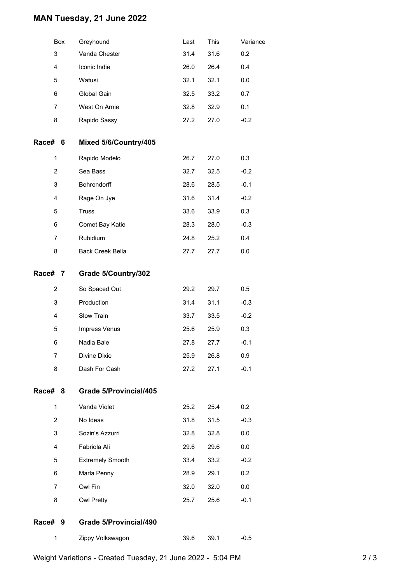## **MAN Tuesday, 21 June 2022**

|                | Box | Greyhound                     | Last | This | Variance |
|----------------|-----|-------------------------------|------|------|----------|
| 3              |     | Vanda Chester                 | 31.4 | 31.6 | 0.2      |
| 4              |     | Iconic Indie                  | 26.0 | 26.4 | 0.4      |
| 5              |     | Watusi                        | 32.1 | 32.1 | 0.0      |
| 6              |     | Global Gain                   | 32.5 | 33.2 | 0.7      |
| 7              |     | West On Arnie                 | 32.8 | 32.9 | 0.1      |
| 8              |     | Rapido Sassy                  | 27.2 | 27.0 | $-0.2$   |
| Race# 6        |     | Mixed 5/6/Country/405         |      |      |          |
| 1              |     | Rapido Modelo                 | 26.7 | 27.0 | 0.3      |
| $\overline{2}$ |     | Sea Bass                      | 32.7 | 32.5 | $-0.2$   |
| 3              |     | Behrendorff                   | 28.6 | 28.5 | $-0.1$   |
| 4              |     | Rage On Jye                   | 31.6 | 31.4 | $-0.2$   |
| 5              |     | <b>Truss</b>                  | 33.6 | 33.9 | 0.3      |
| 6              |     | Comet Bay Katie               | 28.3 | 28.0 | $-0.3$   |
| 7              |     | Rubidium                      | 24.8 | 25.2 | 0.4      |
| 8              |     | <b>Back Creek Bella</b>       | 27.7 | 27.7 | 0.0      |
| Race#          | 7   | Grade 5/Country/302           |      |      |          |
| $\overline{c}$ |     | So Spaced Out                 | 29.2 | 29.7 | 0.5      |
| 3              |     | Production                    | 31.4 | 31.1 | $-0.3$   |
| 4              |     | Slow Train                    | 33.7 | 33.5 | $-0.2$   |
| 5              |     | Impress Venus                 | 25.6 | 25.9 | 0.3      |
| 6              |     | Nadia Bale                    | 27.8 | 27.7 | $-0.1$   |
| 7              |     | Divine Dixie                  | 25.9 | 26.8 | 0.9      |
| 8              |     | Dash For Cash                 | 27.2 | 27.1 | $-0.1$   |
| Race#          | 8   | Grade 5/Provincial/405        |      |      |          |
| 1              |     | Vanda Violet                  | 25.2 | 25.4 | 0.2      |
| $\overline{2}$ |     | No Ideas                      | 31.8 | 31.5 | $-0.3$   |
| 3              |     | Sozin's Azzurri               | 32.8 | 32.8 | 0.0      |
| $\overline{4}$ |     | Fabriola Ali                  | 29.6 | 29.6 | 0.0      |
| 5              |     | <b>Extremely Smooth</b>       | 33.4 | 33.2 | $-0.2$   |
| 6              |     | Marla Penny                   | 28.9 | 29.1 | 0.2      |
| 7              |     | Owl Fin                       | 32.0 | 32.0 | 0.0      |
| 8              |     | Owl Pretty                    | 25.7 | 25.6 | $-0.1$   |
| Race#          | 9   | <b>Grade 5/Provincial/490</b> |      |      |          |
| 1              |     | Zippy Volkswagon              | 39.6 | 39.1 | $-0.5$   |
|                |     |                               |      |      |          |

Weight Variations - Created Tuesday, 21 June 2022 - 5:04 PM 2008 2009